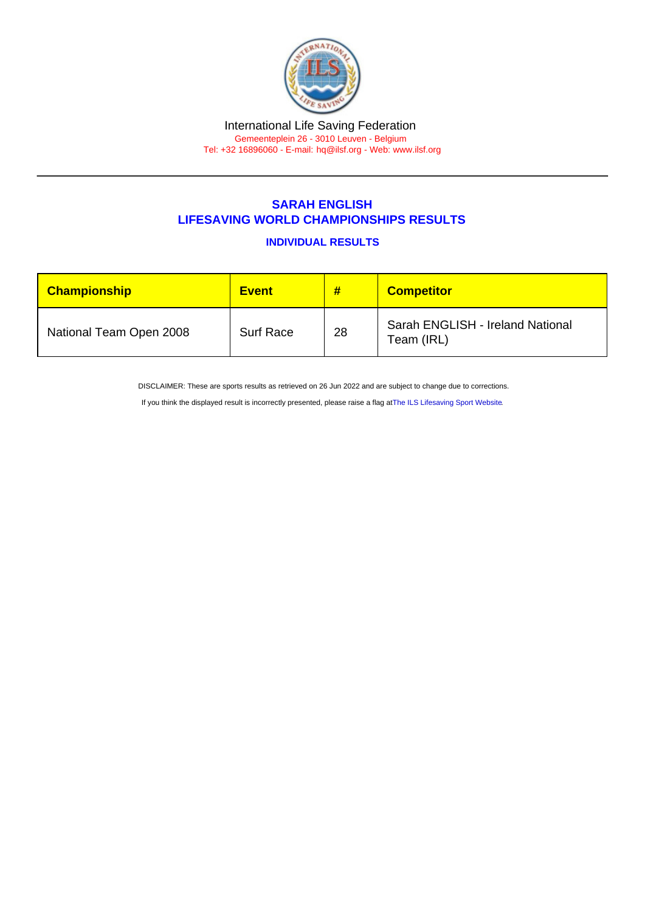## SARAH ENGLISH LIFESAVING WORLD CHAMPIONSHIPS RESULTS

INDIVIDUAL RESULTS

| <b>Championship</b>     | <b>Event</b>     | #  | <b>Competitor</b>                              |
|-------------------------|------------------|----|------------------------------------------------|
| National Team Open 2008 | <b>Surf Race</b> | 28 | Sarah ENGLISH - Ireland National<br>Team (IRL) |

DISCLAIMER: These are sports results as retrieved on 26 Jun 2022 and are subject to change due to corrections.

If you think the displayed result is incorrectly presented, please raise a flag at [The ILS Lifesaving Sport Website.](https://sport.ilsf.org)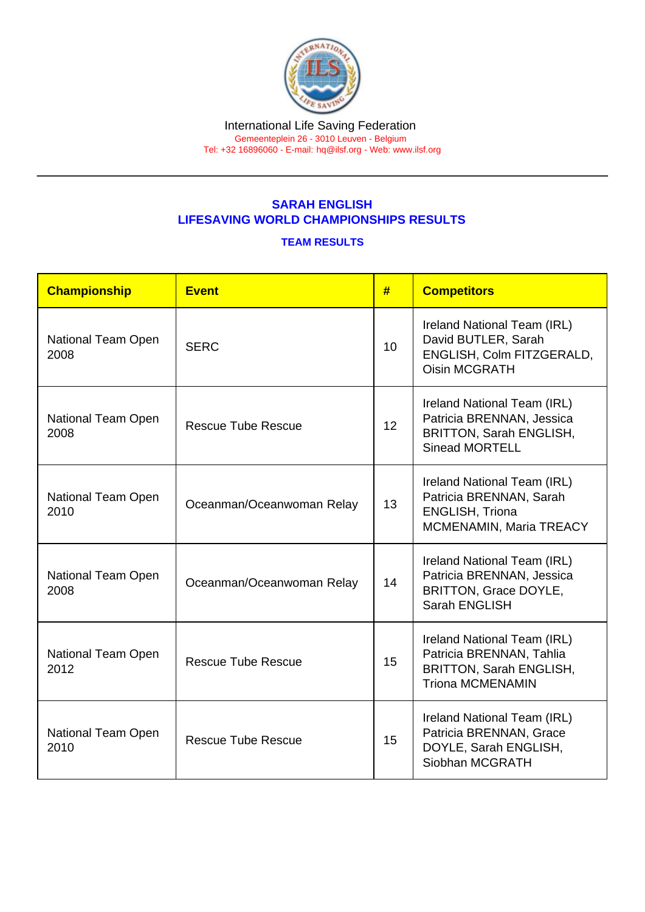## SARAH ENGLISH LIFESAVING WORLD CHAMPIONSHIPS RESULTS

## TEAM RESULTS

| Championship               | <b>Event</b>              | #  | <b>Competitors</b>                                                                                                   |
|----------------------------|---------------------------|----|----------------------------------------------------------------------------------------------------------------------|
| National Team Open<br>2008 | <b>SERC</b>               | 10 | Ireland National Team (IRL)<br>David BUTLER, Sarah<br>ENGLISH, Colm FITZGERALD,<br><b>Oisin MCGRATH</b>              |
| National Team Open<br>2008 | <b>Rescue Tube Rescue</b> |    | Ireland National Team (IRL)<br>Patricia BRENNAN, Jessica<br><b>BRITTON, Sarah ENGLISH,</b><br><b>Sinead MORTELL</b>  |
| National Team Open<br>2010 | Oceanman/Oceanwoman Relay |    | Ireland National Team (IRL)<br>Patricia BRENNAN, Sarah<br><b>ENGLISH, Triona</b><br>MCMENAMIN, Maria TREACY          |
| National Team Open<br>2008 | Oceanman/Oceanwoman Relay |    | Ireland National Team (IRL)<br>Patricia BRENNAN, Jessica<br><b>BRITTON, Grace DOYLE,</b><br>Sarah ENGLISH            |
| National Team Open<br>2012 | <b>Rescue Tube Rescue</b> |    | Ireland National Team (IRL)<br>Patricia BRENNAN, Tahlia<br><b>BRITTON, Sarah ENGLISH,</b><br><b>Triona MCMENAMIN</b> |
| National Team Open<br>2010 | <b>Rescue Tube Rescue</b> |    | Ireland National Team (IRL)<br>Patricia BRENNAN, Grace<br>DOYLE, Sarah ENGLISH,<br>Siobhan MCGRATH                   |